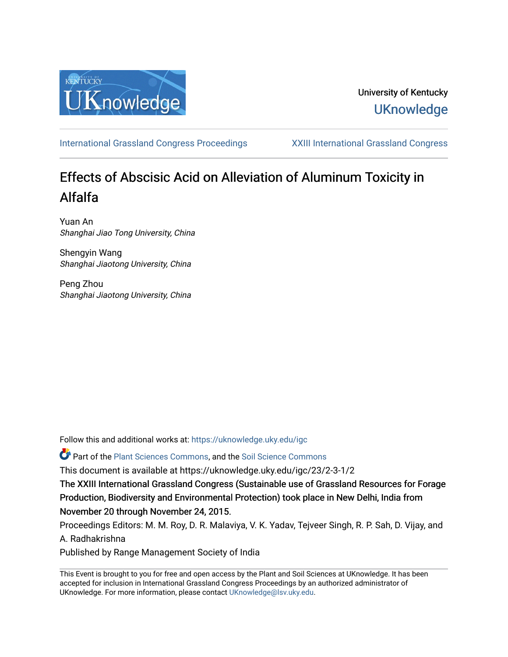

# University of Kentucky **UKnowledge**

[International Grassland Congress Proceedings](https://uknowledge.uky.edu/igc) [XXIII International Grassland Congress](https://uknowledge.uky.edu/igc/23) 

# Effects of Abscisic Acid on Alleviation of Aluminum Toxicity in Alfalfa

Yuan An Shanghai Jiao Tong University, China

Shengyin Wang Shanghai Jiaotong University, China

Peng Zhou Shanghai Jiaotong University, China

Follow this and additional works at: [https://uknowledge.uky.edu/igc](https://uknowledge.uky.edu/igc?utm_source=uknowledge.uky.edu%2Figc%2F23%2F2-3-1%2F2&utm_medium=PDF&utm_campaign=PDFCoverPages) 

Part of the [Plant Sciences Commons](http://network.bepress.com/hgg/discipline/102?utm_source=uknowledge.uky.edu%2Figc%2F23%2F2-3-1%2F2&utm_medium=PDF&utm_campaign=PDFCoverPages), and the [Soil Science Commons](http://network.bepress.com/hgg/discipline/163?utm_source=uknowledge.uky.edu%2Figc%2F23%2F2-3-1%2F2&utm_medium=PDF&utm_campaign=PDFCoverPages) 

This document is available at https://uknowledge.uky.edu/igc/23/2-3-1/2

The XXIII International Grassland Congress (Sustainable use of Grassland Resources for Forage Production, Biodiversity and Environmental Protection) took place in New Delhi, India from November 20 through November 24, 2015.

Proceedings Editors: M. M. Roy, D. R. Malaviya, V. K. Yadav, Tejveer Singh, R. P. Sah, D. Vijay, and A. Radhakrishna

Published by Range Management Society of India

This Event is brought to you for free and open access by the Plant and Soil Sciences at UKnowledge. It has been accepted for inclusion in International Grassland Congress Proceedings by an authorized administrator of UKnowledge. For more information, please contact [UKnowledge@lsv.uky.edu](mailto:UKnowledge@lsv.uky.edu).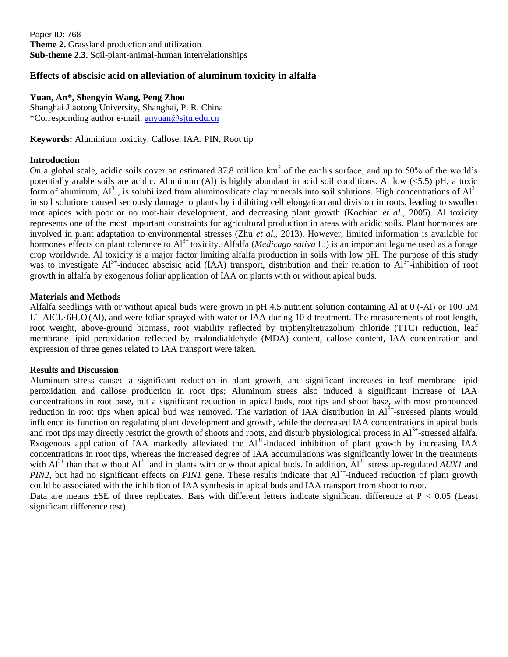Paper ID: 768 **Theme 2.** Grassland production and utilization **Sub-theme 2.3.** Soil-plant-animal-human interrelationships

## **Effects of abscisic acid on alleviation of aluminum toxicity in alfalfa**

### **Yuan, An\*, Shengyin Wang, Peng Zhou**

Shanghai Jiaotong University, Shanghai, P. R. China \*Corresponding author e-mail: [anyuan@sjtu.edu.cn](mailto:anyuan@sjtu.edu.cn)

**Keywords:** Aluminium toxicity, Callose, IAA, PIN, Root tip

### **Introduction**

On a global scale, acidic soils cover an estimated 37.8 million  $km^2$  of the earth's surface, and up to 50% of the world's potentially arable soils are acidic. Aluminum (Al) is highly abundant in acid soil conditions. At low (<5.5) pH, a toxic form of aluminum,  $Al^{3+}$ , is solubilized from aluminosilicate clay minerals into soil solutions. High concentrations of  $Al^{3+}$ in soil solutions caused seriously damage to plants by inhibiting cell elongation and division in roots, leading to swollen root apices with poor or no root-hair development, and decreasing plant growth (Kochian *et al*., 2005). Al toxicity represents one of the most important constraints for agricultural production in areas with acidic soils. Plant hormones are involved in plant adaptation to environmental stresses (Zhu *et al.*, 2013). However, limited information is available for hormones effects on plant tolerance to Al<sup>3+</sup> toxicity. Alfalfa (*Medicago sativa* L.) is an important legume used as a forage crop worldwide. Al toxicity is a major factor limiting alfalfa production in soils with low pH. The purpose of this study was to investigate  $Al^{3+}$ -induced abscisic acid (IAA) transport, distribution and their relation to  $Al^{3+}$ -inhibition of root growth in alfalfa by exogenous foliar application of IAA on plants with or without apical buds.

#### **Materials and Methods**

Alfalfa seedlings with or without apical buds were grown in pH 4.5 nutrient solution containing Al at 0 (-Al) or 100 μM  $L^{-1}$  AlCl<sub>3</sub>·6H<sub>2</sub>O (Al), and were foliar sprayed with water or IAA during 10-d treatment. The measurements of root length, root weight, above-ground biomass, root viability reflected by triphenyltetrazolium chloride (TTC) reduction, leaf membrane lipid peroxidation reflected by malondialdehyde (MDA) content, callose content, IAA concentration and expression of three genes related to IAA transport were taken.

#### **Results and Discussion**

Aluminum stress caused a significant reduction in plant growth, and significant increases in leaf membrane lipid peroxidation and callose production in root tips; Aluminum stress also induced a significant increase of IAA concentrations in root base, but a significant reduction in apical buds, root tips and shoot base, with most pronounced reduction in root tips when apical bud was removed. The variation of IAA distribution in Al<sup>3+</sup>-stressed plants would influence its function on regulating plant development and growth, while the decreased IAA concentrations in apical buds and root tips may directly restrict the growth of shoots and roots, and disturb physiological process in Al<sup>3+</sup>-stressed alfalfa. Exogenous application of IAA markedly alleviated the  $Al^{3+}$ -induced inhibition of plant growth by increasing IAA concentrations in root tips, whereas the increased degree of IAA accumulations was significantly lower in the treatments with  $Al^{3+}$  than that without  $Al^{3+}$  and in plants with or without apical buds. In addition,  $Al^{3+}$  stress up-regulated *AUX1* and *PIN2*, but had no significant effects on *PIN1* gene. These results indicate that  $Al^{3+}$ -induced reduction of plant growth could be associated with the inhibition of IAA synthesis in apical buds and IAA transport from shoot to root.

Data are means  $\pm$ SE of three replicates. Bars with different letters indicate significant difference at P < 0.05 (Least significant difference test).